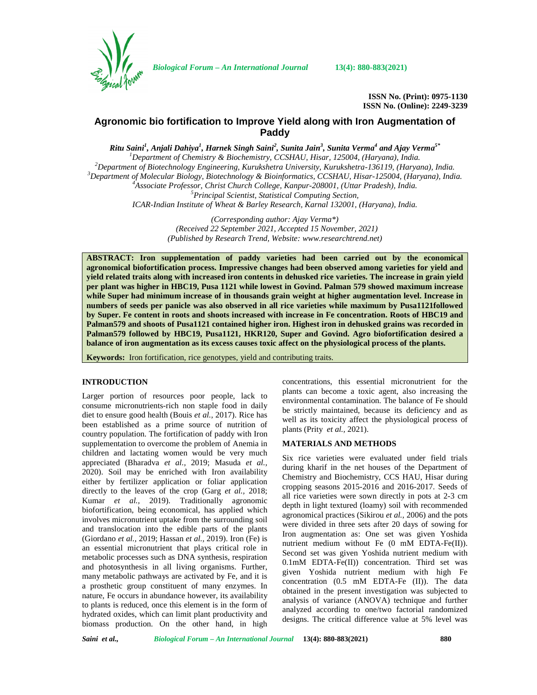

*Biological Forum – An International Journal* **13(4): 880-883(2021)**

**ISSN No. (Print): 0975-1130 ISSN No. (Online): 2249-3239**

# **Agronomic bio fortification to Improve Yield along with Iron Augmentation of Paddy**

 $R$ itu Saini<sup>1</sup>, Anjali Dahiya<sup>1</sup>, Harnek Singh Saini<sup>2</sup>, Sunita Jain<sup>3</sup>, Sunita Verma<sup>4</sup> and Ajay Verma<sup>5\*</sup> <sup>1</sup>Department of Chemistry & Biochemistry, CCSHAU, Hisar, 125004, (Haryana), India.<br><sup>2</sup>Department of Biotechnology Engineering, Kurukshetra University, Kurukshetra-136119, (Haryana), India.<br><sup>3</sup>Department of Molecular Biol *ICAR-Indian Institute of Wheat & Barley Research, Karnal 132001, (Haryana), India.*

> *(Corresponding author: Ajay Verma\*) (Received 22 September 2021, Accepted 15 November, 2021) (Published by Research Trend, Website: [www.researchtrend.net\)](www.researchtrend.net)*

**ABSTRACT: Iron supplementation of paddy varieties had been carried out by the economical agronomical biofortification process. Impressive changes had been observed among varieties for yield and yield related traits along with increased iron contents in dehusked rice varieties. The increase in grain yield per plant was higher in HBC19, Pusa 1121 while lowest in Govind. Palman 579 showed maximum increase while Super had minimum increase of in thousands grain weight at higher augmentation level. Increase in numbers of seeds per panicle was also observed in all rice varieties while maximum by Pusa1121followed by Super. Fe content in roots and shoots increased with increase in Fe concentration. Roots of HBC19 and Palman579 and shoots of Pusa1121 contained higher iron. Highest iron in dehusked grains was recorded in Palman579 followed by HBC19, Pusa1121, HKR120, Super and Govind. Agro biofortification desired a balance of iron augmentation as its excess causes toxic affect on the physiological process of the plants.**

**Keywords:** Iron fortification, rice genotypes, yield and contributing traits.

# **INTRODUCTION**

Larger portion of resources poor people, lack to consume micronutrients-rich non staple food in daily diet to ensure good health (Bouis *et al.,* 2017). Rice has been established as a prime source of nutrition of country population. The fortification of paddy with Iron supplementation to overcome the problem of Anemia in children and lactating women would be very much appreciated (Bharadva *et al.,* 2019; Masuda *et al.,* 2020). Soil may be enriched with Iron availability either by fertilizer application or foliar application directly to the leaves of the crop (Garg *et al.,* 2018; Kumar *et al.,* 2019). Traditionally agronomic biofortification, being economical, has applied which involves micronutrient uptake from the surrounding soil and translocation into the edible parts of the plants (Giordano *et al.,* 2019; Hassan *et al.,* 2019). Iron (Fe) is an essential micronutrient that plays critical role in metabolic processes such as DNA synthesis, respiration and photosynthesis in all living organisms. Further, many metabolic pathways are activated by Fe, and it is a prosthetic group constituent of many enzymes. In nature, Fe occurs in abundance however, its availability to plants is reduced, once this element is in the form of hydrated oxides, which can limit plant productivity and biomass production. On the other hand, in high concentrations, this essential micronutrient for the plants can become a toxic agent, also increasing the environmental contamination. The balance of Fe should be strictly maintained, because its deficiency and as well as its toxicity affect the physiological process of plants (Prity *et al.,* 2021).

# **MATERIALS AND METHODS**

Six rice varieties were evaluated under field trials during kharif in the net houses of the Department of Chemistry and Biochemistry, CCS HAU, Hisar during cropping seasons 2015-2016 and 2016-2017. Seeds of all rice varieties were sown directly in pots at 2-3 cm depth in light textured (loamy) soil with recommended agronomical practices (Sikirou *et al.,* 2006) and the pots were divided in three sets after 20 days of sowing for Iron augmentation as: One set was given Yoshida nutrient medium without Fe (0 mM EDTA-Fe(II)). Second set was given Yoshida nutrient medium with 0.1mM EDTA-Fe(II)) concentration. Third set was given Yoshida nutrient medium with high Fe concentration (0.5 mM EDTA-Fe (II)). The data obtained in the present investigation was subjected to analysis of variance (ANOVA) technique and further analyzed according to one/two factorial randomized designs. The critical difference value at 5% level was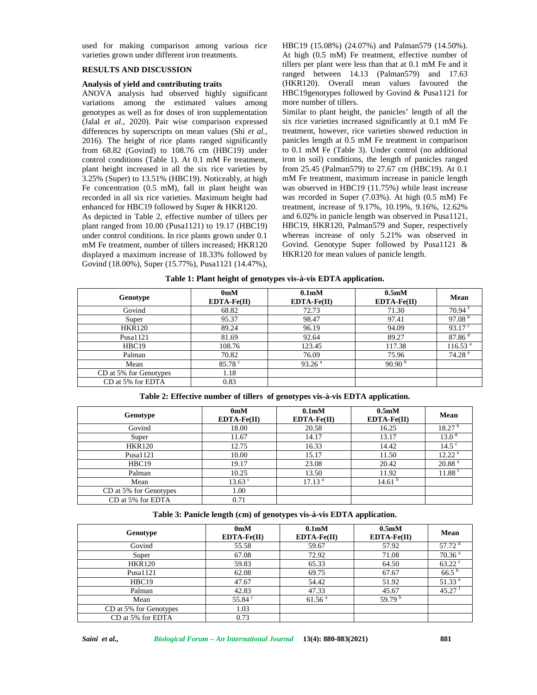used for making comparison among various rice varieties grown under different iron treatments.

## **RESULTS AND DISCUSSION**

# **Analysis of yield and contributing traits**

ANOVA analysis had observed highly significant variations among the estimated values among genotypes as well as for doses of iron supplementation (Jalal *et al.,* 2020). Pair wise comparison expressed differences by superscripts on mean values (Shi *et al.,* 2016). The height of rice plants ranged significantly from 68.82 (Govind) to 108.76 cm (HBC19) under control conditions (Table 1). At 0.1 mM Fe treatment, plant height increased in all the six rice varieties by 3.25% (Super) to 13.51% (HBC19). Noticeably, at high Fe concentration (0.5 mM), fall in plant height was recorded in all six rice varieties. Maximum height had enhanced for HBC19 followed by Super & HKR120.

As depicted in Table 2, effective number of tillers per plant ranged from 10.00 (Pusa1121) to 19.17 (HBC19) under control conditions. In rice plants grown under 0.1 mM Fe treatment, number of tillers increased; HKR120 displayed a maximum increase of 18.33% followed by Govind (18.00%), Super (15.77%), Pusa1121 (14.47%), HBC19 (15.08%) (24.07%) and Palman579 (14.50%). At high (0.5 mM) Fe treatment, effective number of tillers per plant were less than that at 0.1 mM Fe and it ranged between 14.13 (Palman579) and 17.63 (HKR120). Overall mean values favoured the HBC19genotypes followed by Govind & Pusa1121 for more number of tillers.

Similar to plant height, the panicles' length of all the six rice varieties increased significantly at 0.1 mM Fe treatment, however, rice varieties showed reduction in panicles length at 0.5 mM Fe treatment in comparison to 0.1 mM Fe (Table 3). Under control (no additional iron in soil) conditions, the length of panicles ranged from 25.45 (Palman579) to 27.67 cm (HBC19). At 0.1 mM Fe treatment, maximum increase in panicle length was observed in HBC19 (11.75%) while least increase was recorded in Super (7.03%). At high (0.5 mM) Fe treatment, increase of 9.17%, 10.19%, 9.16%, 12.62% and 6.02% in panicle length was observed in Pusa1121, HBC19, HKR120, Palman579 and Super, respectively whereas increase of only 5.21% was observed in Govind. Genotype Super followed by Pusa1121 & HKR120 for mean values of panicle length.

| Genotype               | 0 <sub>m</sub> M<br>$EDTA-Fe(II)$ | 0.1 <sub>m</sub> M<br>$EDTA-Fe(II)$ | 0.5 <sub>m</sub> M<br>$EDTA-Fe(II)$ | Mean                |
|------------------------|-----------------------------------|-------------------------------------|-------------------------------------|---------------------|
| Govind                 | 68.82                             | 72.73                               | 71.30                               | 70.94 <sup>1</sup>  |
| Super                  | 95.37                             | 98.47                               | 97.41                               | 97.08 $b$           |
| <b>HKR120</b>          | 89.24                             | 96.19                               | 94.09                               | 93.17 $\degree$     |
| Pusa1121               | 81.69                             | 92.64                               | 89.27                               | 87.86 <sup>d</sup>  |
| HBC19                  | 108.76                            | 123.45                              | 117.38                              | 116.53 <sup>a</sup> |
| Palman                 | 70.82                             | 76.09                               | 75.96                               | 74.28 <sup>e</sup>  |
| Mean                   | $85.78$ $\degree$                 | 93.26 <sup>a</sup>                  | 90.90 $^{\rm b}$                    |                     |
| CD at 5% for Genotypes | 1.18                              |                                     |                                     |                     |
| CD at 5% for EDTA      | 0.83                              |                                     |                                     |                     |

**Table 1: Plant height of genotypes vis-à-vis EDTA application.**

| Table 2: Effective number of tillers of genotypes vis-à-vis EDTA application. |
|-------------------------------------------------------------------------------|
|                                                                               |

| Genotype               | 0 <sub>m</sub> M<br>$EDTA-Fe(II)$ | 0.1 <sub>m</sub> M<br>$EDTA-Fe(II)$ | 0.5 <sub>m</sub> M<br>$EDTA-Fe(II)$ | Mean               |
|------------------------|-----------------------------------|-------------------------------------|-------------------------------------|--------------------|
| Govind                 | 18.00                             | 20.58                               | 16.25                               | 18.27 <sup>b</sup> |
| Super                  | 11.67                             | 14.17                               | 13.17                               | 13.0 <sup>d</sup>  |
| <b>HKR120</b>          | 12.75                             | 16.33                               | 14.42                               | 14.5 <sup>c</sup>  |
| Pusa1121               | 10.00                             | 15.17                               | 11.50                               | 12.22 <sup>e</sup> |
| HBC19                  | 19.17                             | 23.08                               | 20.42                               | 20.88 <sup>a</sup> |
| Palman                 | 10.25                             | 13.50                               | 11.92                               | 11.88 <sup>1</sup> |
| Mean                   | $13.63$ $\degree$                 | 17.13 <sup>a</sup>                  | 14.61 <sup>b</sup>                  |                    |
| CD at 5% for Genotypes | 1.00                              |                                     |                                     |                    |
| CD at 5% for EDTA      | 0.71                              |                                     |                                     |                    |

**Table 3: Panicle length (cm) of genotypes vis-à-vis EDTA application.**

| Genotype               | 0 <sub>m</sub> M<br>$EDTA-Fe(II)$ | 0.1 <sub>m</sub> M<br>$EDTA-Fe(II)$ | 0.5 <sub>m</sub> M<br>$EDTA-Fe(II)$ | Mean                 |
|------------------------|-----------------------------------|-------------------------------------|-------------------------------------|----------------------|
| Govind                 | 55.58                             | 59.67                               | 57.92                               | $57.72$ <sup>d</sup> |
| Super                  | 67.08                             | 72.92                               | 71.08                               | 70.36 <sup>a</sup>   |
| <b>HKR120</b>          | 59.83                             | 65.33                               | 64.50                               | $63.22$ c            |
| Pusa1121               | 62.08                             | 69.75                               | 67.67                               | $66.5^{b}$           |
| HBC19                  | 47.67                             | 54.42                               | 51.92                               | 51.33 <sup>e</sup>   |
| Palman                 | 42.83                             | 47.33                               | 45.67                               | $45.27$ <sup>t</sup> |
| Mean                   | 55.84 °                           | 61.56 <sup>a</sup>                  | 59.79 $b$                           |                      |
| CD at 5% for Genotypes | 1.03                              |                                     |                                     |                      |
| CD at 5% for EDTA      | 0.73                              |                                     |                                     |                      |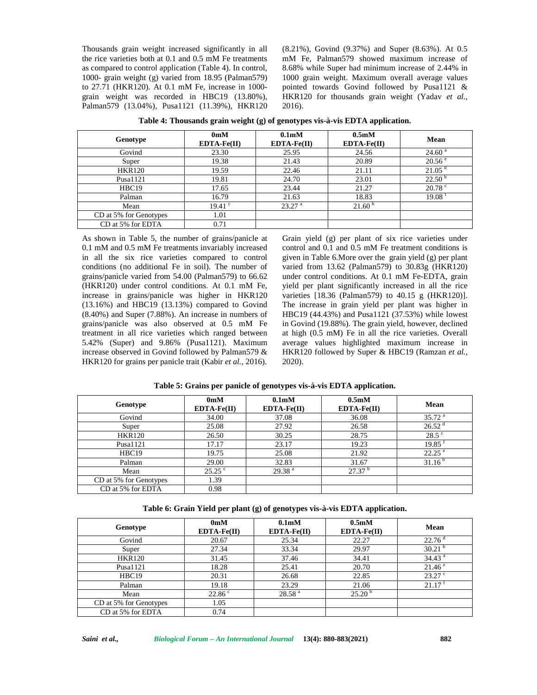Thousands grain weight increased significantly in all the rice varieties both at 0.1 and 0.5 mM Fe treatments as compared to control application (Table 4). In control, 1000- grain weight (g) varied from 18.95 (Palman579) to 27.71 (HKR120). At 0.1 mM Fe, increase in 1000 grain weight was recorded in HBC19 (13.80%), Palman579 (13.04%), Pusa1121 (11.39%), HKR120

(8.21%), Govind (9.37%) and Super (8.63%). At 0.5 mM Fe, Palman579 showed maximum increase of 8.68% while Super had minimum increase of 2.44% in 1000 grain weight. Maximum overall average values pointed towards Govind followed by Pusa1121 & HKR120 for thousands grain weight (Yadav *et al.,* 2016).

| Genotype               | 0 <sub>m</sub> M<br>$EDTA-Fe(II)$ | 0.1 <sub>m</sub> M<br>$EDTA-Fe(II)$ | 0.5 <sub>m</sub> M<br>$EDTA-Fe(II)$ | Mean               |
|------------------------|-----------------------------------|-------------------------------------|-------------------------------------|--------------------|
| Govind                 | 23.30                             | 25.95                               | 24.56                               | 24.60 <sup>a</sup> |
| Super                  | 19.38                             | 21.43                               | 20.89                               | $20.56^{\circ}$    |
| <b>HKR120</b>          | 19.59                             | 22.46                               | 21.11                               | 21.05 <sup>d</sup> |
| Pusa1121               | 19.81                             | 24.70                               | 23.01                               | 22.50 <sup>b</sup> |
| HBC19                  | 17.65                             | 23.44                               | 21.27                               | $20.78$ $\degree$  |
| Palman                 | 16.79                             | 21.63                               | 18.83                               | 19.08              |
| Mean                   | $19.41$ $\degree$                 | 23.27 <sup>a</sup>                  | 21.60 <sup>b</sup>                  |                    |
| CD at 5% for Genotypes | 1.01                              |                                     |                                     |                    |
| CD at 5% for EDTA      | 0.71                              |                                     |                                     |                    |

As shown in Table 5, the number of grains/panicle at 0.1 mM and 0.5 mM Fe treatments invariably increased in all the six rice varieties compared to control conditions (no additional Fe in soil). The number of grains/panicle varied from 54.00 (Palman579) to 66.62 (HKR120) under control conditions. At 0.1 mM Fe, increase in grains/panicle was higher in HKR120 (13.16%) and HBC19 (13.13%) compared to Govind (8.40%) and Super (7.88%). An increase in numbers of grains/panicle was also observed at 0.5 mM Fe treatment in all rice varieties which ranged between 5.42% (Super) and 9.86% (Pusa1121). Maximum increase observed in Govind followed by Palman579 & HKR120 for grains per panicle trait (Kabir *et al.,* 2016).

Grain yield (g) per plant of six rice varieties under control and 0.1 and 0.5 mM Fe treatment conditions is given in Table 6.More over the grain yield (g) per plant varied from 13.62 (Palman579) to 30.83g (HKR120) under control conditions. At 0.1 mM Fe-EDTA, grain yield per plant significantly increased in all the rice varieties [18.36 (Palman579) to 40.15 g (HKR120)]. The increase in grain yield per plant was higher in HBC19 (44.43%) and Pusa1121 (37.53%) while lowest in Govind (19.88%). The grain yield, however, declined at high (0.5 mM) Fe in all the rice varieties. Overall average values highlighted maximum increase in HKR120 followed by Super & HBC19 (Ramzan *et al.,* 2020).

| Genotype               | 0 <sub>m</sub> M<br>$EDTA-Fe(II)$ | 0.1 <sub>m</sub> M<br>$EDTA-Fe(II)$ | 0.5 <sub>m</sub> M<br>$EDTA-Fe(II)$ | Mean               |
|------------------------|-----------------------------------|-------------------------------------|-------------------------------------|--------------------|
| Govind                 | 34.00                             | 37.08                               | 36.08                               | 35.72 <sup>a</sup> |
| Super                  | 25.08                             | 27.92                               | 26.58                               | 26.52 <sup>d</sup> |
| <b>HKR120</b>          | 26.50                             | 30.25                               | 28.75                               | $28.5^{\circ}$     |
| Pusal121               | 17.17                             | 23.17                               | 19.23                               | 19.85              |
| HBC19                  | 19.75                             | 25.08                               | 21.92                               | $22.25^{\circ}$    |
| Palman                 | 29.00                             | 32.83                               | 31.67                               | 31.16 <sup>b</sup> |
| Mean                   | $25.25$ °                         | 29.38 <sup>a</sup>                  | 27.37 <sup>b</sup>                  |                    |
| CD at 5% for Genotypes | 1.39                              |                                     |                                     |                    |
| CD at 5% for EDTA      | 0.98                              |                                     |                                     |                    |

**Table 5: Grains per panicle of genotypes vis-à-vis EDTA application.**

**Table 6: Grain Yield per plant (g) of genotypes vis-à-vis EDTA application.**

| Genotype               | 0 <sub>m</sub> M<br>$EDTA-Fe(II)$ | 0.1 <sub>m</sub> M<br>$EDTA-Fe(II)$ | 0.5 <sub>m</sub> M<br>$EDTA-Fe(II)$ | Mean                 |
|------------------------|-----------------------------------|-------------------------------------|-------------------------------------|----------------------|
| Govind                 | 20.67                             | 25.34                               | 22.27                               | 22.76 <sup>d</sup>   |
| Super                  | 27.34                             | 33.34                               | 29.97                               | 30.21 <sup>b</sup>   |
| <b>HKR120</b>          | 31.45                             | 37.46                               | 34.41                               | $34.43$ <sup>a</sup> |
| Pusa1121               | 18.28                             | 25.41                               | 20.70                               | $21.46^{\circ}$      |
| HBC19                  | 20.31                             | 26.68                               | 22.85                               | $23.27$ °            |
| Palman                 | 19.18                             | 23.29                               | 21.06                               | 21.17                |
| Mean                   | 22.86 °                           | 28.58 <sup>a</sup>                  | 25.20 <sup>b</sup>                  |                      |
| CD at 5% for Genotypes | 1.05                              |                                     |                                     |                      |
| CD at 5% for EDTA      | 0.74                              |                                     |                                     |                      |